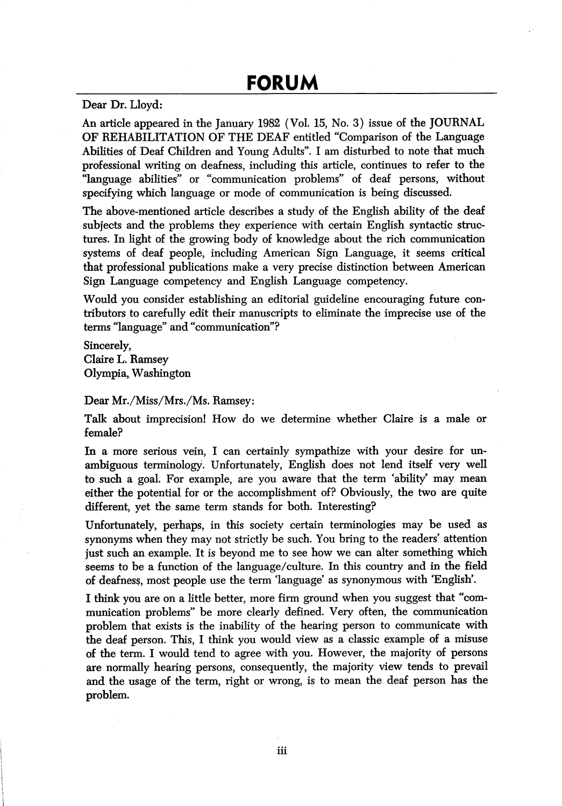Dear Dr. Lloyd:

An article appeared in the January 1982 (Vol. 15, No. 3) issue of the JOURNAL OF REHABILITATION OF THE DEAF entitled "Comparison of the Language Abilities of Deaf Children and Young Adults". I am disturbed to note that much professional writing on deafness, including this article, continues to refer to the "language abilities" or "communication problems" of deaf persons, without specifying which language or mode of communication is being discussed.

The above-mentioned article describes a study of the English ability of the deaf subjects and the problems they experience with certain English syntactic struc tures. In light of the growing body of knowledge about the rich communication systems of deaf people, including American Sign Language, it seems critical that professional publications make a very precise distinction between American Sign Language competency and English Language competency.

Would you consider establishing an editorial guideline encouraging future con tributors to carefully edit their manuscripts to eliminate the imprecise use of the terms "language" and "communication"?

Sincerely, Claire L. Ramsey Olympia, Washington

Dear Mr./Miss/Mrs./Ms. Ramsey:

Talk about imprecision! How do we determine whether Claire is a male or female?

In a more serious vein, I can certainly sympathize with your desire for unambiguous terminology. Unfortunately, English does not lend itself very well to such a goal. For example, are you aware that the term 'ability' may mean either the potential for or the accomplishment of? Obviously, the two are quite different, yet the same term stands for both. Interesting?

Unfortunately, perhaps, in this society certain terminologies may be used as synonyms when they may not strictly be such. You bring to the readers' attention just such an example. It is beyond me to see how we can alter something which seems to be a function of the language/culture. In this country and in the field of deafness, most people use the term 'language' as synonymous with 'English'.

I think you are on a little better, more firm ground when you suggest that "com munication problems" be more clearly defined. Very often, the communication problem that exists is the inability of the hearing person to communicate with the deaf person. This, I think you would view as a classic example of a misuse of the term. I would tend to agree with you. However, the majority of persons are normally hearing persons, consequently, the majority view tends to prevail and the usage of the term, right or wrong, is to mean the deaf person has the problem.